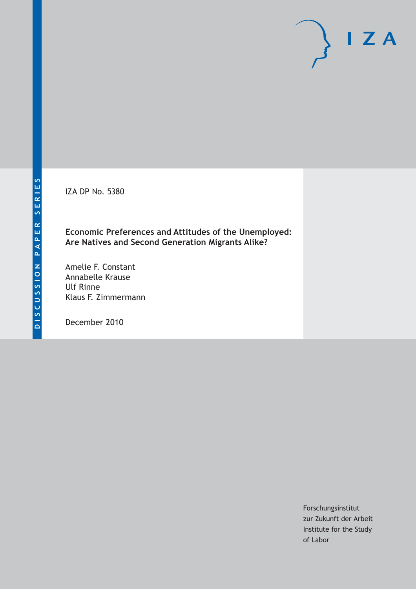IZA DP No. 5380

#### **Economic Preferences and Attitudes of the Unemployed: Are Natives and Second Generation Migrants Alike?**

Amelie F. Constant Annabelle Krause Ulf Rinne Klaus F. Zimmermann

December 2010

Forschungsinstitut zur Zukunft der Arbeit Institute for the Study of Labor

 $I Z A$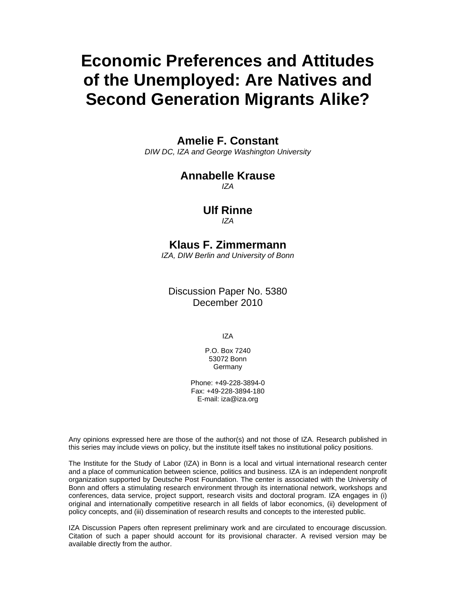# **Economic Preferences and Attitudes of the Unemployed: Are Natives and Second Generation Migrants Alike?**

### **Amelie F. Constant**

*DIW DC, IZA and George Washington University* 

### **Annabelle Krause**

*IZA* 

#### **Ulf Rinne**  *IZA*

# **Klaus F. Zimmermann**

*IZA, DIW Berlin and University of Bonn* 

Discussion Paper No. 5380 December 2010

IZA

P.O. Box 7240 53072 Bonn Germany

Phone: +49-228-3894-0 Fax: +49-228-3894-180 E-mail: iza@iza.org

Any opinions expressed here are those of the author(s) and not those of IZA. Research published in this series may include views on policy, but the institute itself takes no institutional policy positions.

The Institute for the Study of Labor (IZA) in Bonn is a local and virtual international research center and a place of communication between science, politics and business. IZA is an independent nonprofit organization supported by Deutsche Post Foundation. The center is associated with the University of Bonn and offers a stimulating research environment through its international network, workshops and conferences, data service, project support, research visits and doctoral program. IZA engages in (i) original and internationally competitive research in all fields of labor economics, (ii) development of policy concepts, and (iii) dissemination of research results and concepts to the interested public.

IZA Discussion Papers often represent preliminary work and are circulated to encourage discussion. Citation of such a paper should account for its provisional character. A revised version may be available directly from the author.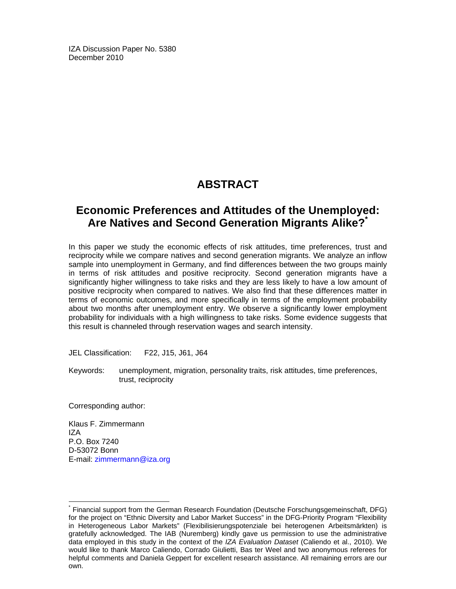IZA Discussion Paper No. 5380 December 2010

# **ABSTRACT**

## **Economic Preferences and Attitudes of the Unemployed: Are Natives and Second Generation Migrants Alike?\***

In this paper we study the economic effects of risk attitudes, time preferences, trust and reciprocity while we compare natives and second generation migrants. We analyze an inflow sample into unemployment in Germany, and find differences between the two groups mainly in terms of risk attitudes and positive reciprocity. Second generation migrants have a significantly higher willingness to take risks and they are less likely to have a low amount of positive reciprocity when compared to natives. We also find that these differences matter in terms of economic outcomes, and more specifically in terms of the employment probability about two months after unemployment entry. We observe a significantly lower employment probability for individuals with a high willingness to take risks. Some evidence suggests that this result is channeled through reservation wages and search intensity.

JEL Classification: F22, J15, J61, J64

Keywords: unemployment, migration, personality traits, risk attitudes, time preferences, trust, reciprocity

Corresponding author:

-

Klaus F. Zimmermann IZA P.O. Box 7240 D-53072 Bonn E-mail: zimmermann@iza.org

<sup>\*</sup> Financial support from the German Research Foundation (Deutsche Forschungsgemeinschaft, DFG) for the project on "Ethnic Diversity and Labor Market Success" in the DFG-Priority Program "Flexibility in Heterogeneous Labor Markets" (Flexibilisierungspotenziale bei heterogenen Arbeitsmärkten) is gratefully acknowledged. The IAB (Nuremberg) kindly gave us permission to use the administrative data employed in this study in the context of the *IZA Evaluation Dataset* (Caliendo et al., 2010). We would like to thank Marco Caliendo, Corrado Giulietti, Bas ter Weel and two anonymous referees for helpful comments and Daniela Geppert for excellent research assistance. All remaining errors are our own.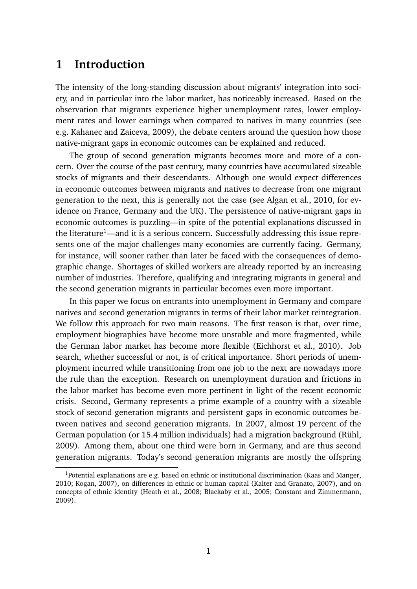# **1 Introduction**

The intensity of the long-standing discussion about migrants' integration into society, and in particular into the labor market, has noticeably increased. Based on the observation that migrants experience higher unemployment rates, lower employment rates and lower earnings when compared to natives in many countries (see e.g. Kahanec and Zaiceva, 2009), the debate centers around the question how those native-migrant gaps in economic outcomes can be explained and reduced.

The group of second generation migrants becomes more and more of a concern. Over the course of the past century, many countries have accumulated sizeable stocks of migrants and their descendants. Although one would expect differences in economic outcomes between migrants and natives to decrease from one migrant generation to the next, this is generally not the case (see Algan et al., 2010, for evidence on France, Germany and the UK). The persistence of native-migrant gaps in economic outcomes is puzzling—in spite of the potential explanations discussed in the literature<sup>1</sup>—and it is a serious concern. Successfully addressing this issue represents one of the major challenges many economies are currently facing. Germany, for instance, will sooner rather than later be faced with the consequences of demographic change. Shortages of skilled workers are already reported by an increasing number of industries. Therefore, qualifying and integrating migrants in general and the second generation migrants in particular becomes even more important.

In this paper we focus on entrants into unemployment in Germany and compare natives and second generation migrants in terms of their labor market reintegration. We follow this approach for two main reasons. The first reason is that, over time, employment biographies have become more unstable and more fragmented, while the German labor market has become more flexible (Eichhorst et al., 2010). Job search, whether successful or not, is of critical importance. Short periods of unemployment incurred while transitioning from one job to the next are nowadays more the rule than the exception. Research on unemployment duration and frictions in the labor market has become even more pertinent in light of the recent economic crisis. Second, Germany represents a prime example of a country with a sizeable stock of second generation migrants and persistent gaps in economic outcomes between natives and second generation migrants. In 2007, almost 19 percent of the German population (or 15.4 million individuals) had a migration background (Rühl, 2009). Among them, about one third were born in Germany, and are thus second generation migrants. Today's second generation migrants are mostly the offspring

<sup>&</sup>lt;sup>1</sup>Potential explanations are e.g. based on ethnic or institutional discrimination (Kaas and Manger, 2010; Kogan, 2007), on differences in ethnic or human capital (Kalter and Granato, 2007), and on concepts of ethnic identity (Heath et al., 2008; Blackaby et al., 2005; Constant and Zimmermann, 2009).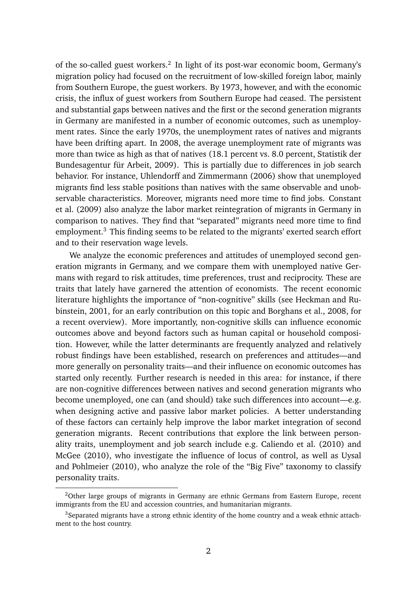of the so-called guest workers.<sup>2</sup> In light of its post-war economic boom, Germany's migration policy had focused on the recruitment of low-skilled foreign labor, mainly from Southern Europe, the guest workers. By 1973, however, and with the economic crisis, the influx of guest workers from Southern Europe had ceased. The persistent and substantial gaps between natives and the first or the second generation migrants in Germany are manifested in a number of economic outcomes, such as unemployment rates. Since the early 1970s, the unemployment rates of natives and migrants have been drifting apart. In 2008, the average unemployment rate of migrants was more than twice as high as that of natives (18.1 percent vs. 8.0 percent, Statistik der Bundesagentur für Arbeit, 2009). This is partially due to differences in job search behavior. For instance, Uhlendorff and Zimmermann (2006) show that unemployed migrants find less stable positions than natives with the same observable and unobservable characteristics. Moreover, migrants need more time to find jobs. Constant et al. (2009) also analyze the labor market reintegration of migrants in Germany in comparison to natives. They find that "separated" migrants need more time to find employment.<sup>3</sup> This finding seems to be related to the migrants' exerted search effort and to their reservation wage levels.

We analyze the economic preferences and attitudes of unemployed second generation migrants in Germany, and we compare them with unemployed native Germans with regard to risk attitudes, time preferences, trust and reciprocity. These are traits that lately have garnered the attention of economists. The recent economic literature highlights the importance of "non-cognitive" skills (see Heckman and Rubinstein, 2001, for an early contribution on this topic and Borghans et al., 2008, for a recent overview). More importantly, non-cognitive skills can influence economic outcomes above and beyond factors such as human capital or household composition. However, while the latter determinants are frequently analyzed and relatively robust findings have been established, research on preferences and attitudes—and more generally on personality traits—and their influence on economic outcomes has started only recently. Further research is needed in this area: for instance, if there are non-cognitive differences between natives and second generation migrants who become unemployed, one can (and should) take such differences into account—e.g. when designing active and passive labor market policies. A better understanding of these factors can certainly help improve the labor market integration of second generation migrants. Recent contributions that explore the link between personality traits, unemployment and job search include e.g. Caliendo et al. (2010) and McGee (2010), who investigate the influence of locus of control, as well as Uysal and Pohlmeier (2010), who analyze the role of the "Big Five" taxonomy to classify personality traits.

<sup>&</sup>lt;sup>2</sup>Other large groups of migrants in Germany are ethnic Germans from Eastern Europe, recent immigrants from the EU and accession countries, and humanitarian migrants.

<sup>&</sup>lt;sup>3</sup>Separated migrants have a strong ethnic identity of the home country and a weak ethnic attachment to the host country.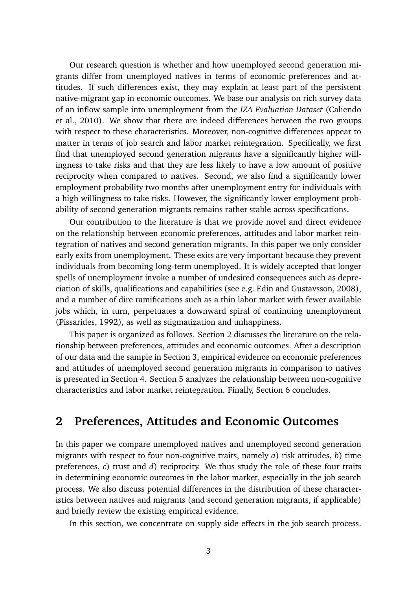Our research question is whether and how unemployed second generation migrants differ from unemployed natives in terms of economic preferences and attitudes. If such differences exist, they may explain at least part of the persistent native-migrant gap in economic outcomes. We base our analysis on rich survey data of an inflow sample into unemployment from the *IZA Evaluation Dataset* (Caliendo et al., 2010). We show that there are indeed differences between the two groups with respect to these characteristics. Moreover, non-cognitive differences appear to matter in terms of job search and labor market reintegration. Specifically, we first find that unemployed second generation migrants have a significantly higher willingness to take risks and that they are less likely to have a low amount of positive reciprocity when compared to natives. Second, we also find a significantly lower employment probability two months after unemployment entry for individuals with a high willingness to take risks. However, the significantly lower employment probability of second generation migrants remains rather stable across specifications.

Our contribution to the literature is that we provide novel and direct evidence on the relationship between economic preferences, attitudes and labor market reintegration of natives and second generation migrants. In this paper we only consider early exits from unemployment. These exits are very important because they prevent individuals from becoming long-term unemployed. It is widely accepted that longer spells of unemployment invoke a number of undesired consequences such as depreciation of skills, qualifications and capabilities (see e.g. Edin and Gustavsson, 2008), and a number of dire ramifications such as a thin labor market with fewer available jobs which, in turn, perpetuates a downward spiral of continuing unemployment (Pissarides, 1992), as well as stigmatization and unhappiness.

This paper is organized as follows. Section 2 discusses the literature on the relationship between preferences, attitudes and economic outcomes. After a description of our data and the sample in Section 3, empirical evidence on economic preferences and attitudes of unemployed second generation migrants in comparison to natives is presented in Section 4. Section 5 analyzes the relationship between non-cognitive characteristics and labor market reintegration. Finally, Section 6 concludes.

# **2 Preferences, Attitudes and Economic Outcomes**

In this paper we compare unemployed natives and unemployed second generation migrants with respect to four non-cognitive traits, namely *a*) risk attitudes, *b*) time preferences, *c*) trust and *d*) reciprocity. We thus study the role of these four traits in determining economic outcomes in the labor market, especially in the job search process. We also discuss potential differences in the distribution of these characteristics between natives and migrants (and second generation migrants, if applicable) and briefly review the existing empirical evidence.

In this section, we concentrate on supply side effects in the job search process.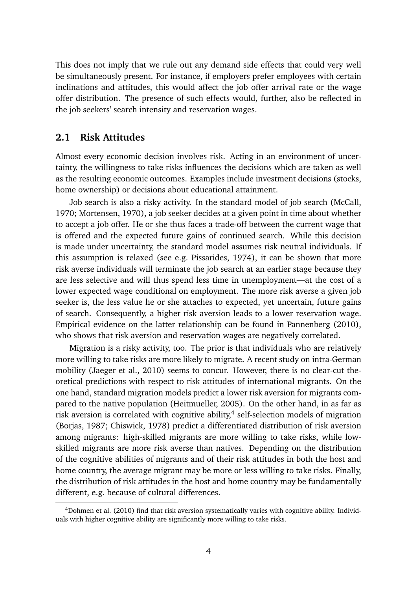This does not imply that we rule out any demand side effects that could very well be simultaneously present. For instance, if employers prefer employees with certain inclinations and attitudes, this would affect the job offer arrival rate or the wage offer distribution. The presence of such effects would, further, also be reflected in the job seekers' search intensity and reservation wages.

#### **2.1 Risk Attitudes**

Almost every economic decision involves risk. Acting in an environment of uncertainty, the willingness to take risks influences the decisions which are taken as well as the resulting economic outcomes. Examples include investment decisions (stocks, home ownership) or decisions about educational attainment.

Job search is also a risky activity. In the standard model of job search (McCall, 1970; Mortensen, 1970), a job seeker decides at a given point in time about whether to accept a job offer. He or she thus faces a trade-off between the current wage that is offered and the expected future gains of continued search. While this decision is made under uncertainty, the standard model assumes risk neutral individuals. If this assumption is relaxed (see e.g. Pissarides, 1974), it can be shown that more risk averse individuals will terminate the job search at an earlier stage because they are less selective and will thus spend less time in unemployment—at the cost of a lower expected wage conditional on employment. The more risk averse a given job seeker is, the less value he or she attaches to expected, yet uncertain, future gains of search. Consequently, a higher risk aversion leads to a lower reservation wage. Empirical evidence on the latter relationship can be found in Pannenberg (2010), who shows that risk aversion and reservation wages are negatively correlated.

Migration is a risky activity, too. The prior is that individuals who are relatively more willing to take risks are more likely to migrate. A recent study on intra-German mobility (Jaeger et al., 2010) seems to concur. However, there is no clear-cut theoretical predictions with respect to risk attitudes of international migrants. On the one hand, standard migration models predict a lower risk aversion for migrants compared to the native population (Heitmueller, 2005). On the other hand, in as far as risk aversion is correlated with cognitive ability, $4$  self-selection models of migration (Borjas, 1987; Chiswick, 1978) predict a differentiated distribution of risk aversion among migrants: high-skilled migrants are more willing to take risks, while lowskilled migrants are more risk averse than natives. Depending on the distribution of the cognitive abilities of migrants and of their risk attitudes in both the host and home country, the average migrant may be more or less willing to take risks. Finally, the distribution of risk attitudes in the host and home country may be fundamentally different, e.g. because of cultural differences.

<sup>4</sup>Dohmen et al. (2010) find that risk aversion systematically varies with cognitive ability. Individuals with higher cognitive ability are significantly more willing to take risks.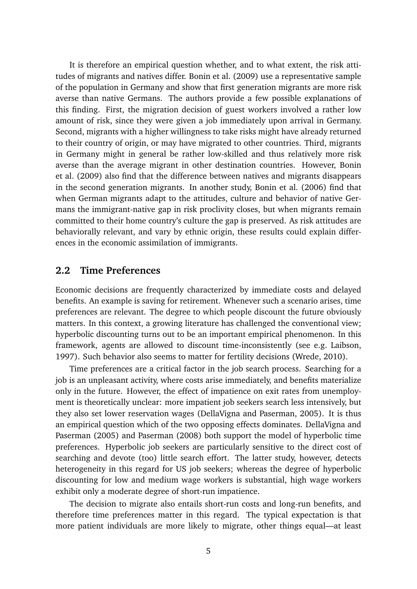It is therefore an empirical question whether, and to what extent, the risk attitudes of migrants and natives differ. Bonin et al. (2009) use a representative sample of the population in Germany and show that first generation migrants are more risk averse than native Germans. The authors provide a few possible explanations of this finding. First, the migration decision of guest workers involved a rather low amount of risk, since they were given a job immediately upon arrival in Germany. Second, migrants with a higher willingness to take risks might have already returned to their country of origin, or may have migrated to other countries. Third, migrants in Germany might in general be rather low-skilled and thus relatively more risk averse than the average migrant in other destination countries. However, Bonin et al. (2009) also find that the difference between natives and migrants disappears in the second generation migrants. In another study, Bonin et al. (2006) find that when German migrants adapt to the attitudes, culture and behavior of native Germans the immigrant-native gap in risk proclivity closes, but when migrants remain committed to their home country's culture the gap is preserved. As risk attitudes are behaviorally relevant, and vary by ethnic origin, these results could explain differences in the economic assimilation of immigrants.

#### **2.2 Time Preferences**

Economic decisions are frequently characterized by immediate costs and delayed benefits. An example is saving for retirement. Whenever such a scenario arises, time preferences are relevant. The degree to which people discount the future obviously matters. In this context, a growing literature has challenged the conventional view; hyperbolic discounting turns out to be an important empirical phenomenon. In this framework, agents are allowed to discount time-inconsistently (see e.g. Laibson, 1997). Such behavior also seems to matter for fertility decisions (Wrede, 2010).

Time preferences are a critical factor in the job search process. Searching for a job is an unpleasant activity, where costs arise immediately, and benefits materialize only in the future. However, the effect of impatience on exit rates from unemployment is theoretically unclear: more impatient job seekers search less intensively, but they also set lower reservation wages (DellaVigna and Paserman, 2005). It is thus an empirical question which of the two opposing effects dominates. DellaVigna and Paserman (2005) and Paserman (2008) both support the model of hyperbolic time preferences. Hyperbolic job seekers are particularly sensitive to the direct cost of searching and devote (too) little search effort. The latter study, however, detects heterogeneity in this regard for US job seekers; whereas the degree of hyperbolic discounting for low and medium wage workers is substantial, high wage workers exhibit only a moderate degree of short-run impatience.

The decision to migrate also entails short-run costs and long-run benefits, and therefore time preferences matter in this regard. The typical expectation is that more patient individuals are more likely to migrate, other things equal—at least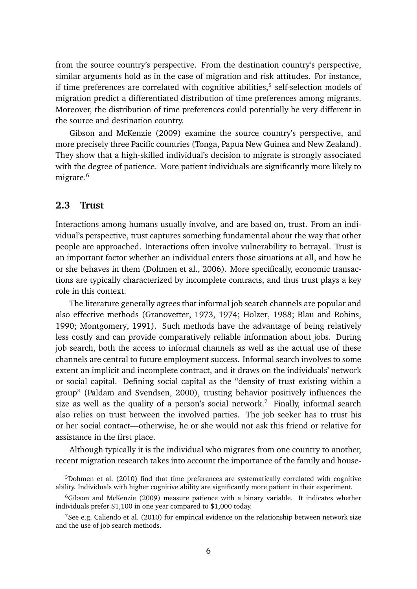from the source country's perspective. From the destination country's perspective, similar arguments hold as in the case of migration and risk attitudes. For instance, if time preferences are correlated with cognitive abilities,<sup>5</sup> self-selection models of migration predict a differentiated distribution of time preferences among migrants. Moreover, the distribution of time preferences could potentially be very different in the source and destination country.

Gibson and McKenzie (2009) examine the source country's perspective, and more precisely three Pacific countries (Tonga, Papua New Guinea and New Zealand). They show that a high-skilled individual's decision to migrate is strongly associated with the degree of patience. More patient individuals are significantly more likely to migrate.<sup>6</sup>

#### **2.3 Trust**

Interactions among humans usually involve, and are based on, trust. From an individual's perspective, trust captures something fundamental about the way that other people are approached. Interactions often involve vulnerability to betrayal. Trust is an important factor whether an individual enters those situations at all, and how he or she behaves in them (Dohmen et al., 2006). More specifically, economic transactions are typically characterized by incomplete contracts, and thus trust plays a key role in this context.

The literature generally agrees that informal job search channels are popular and also effective methods (Granovetter, 1973, 1974; Holzer, 1988; Blau and Robins, 1990; Montgomery, 1991). Such methods have the advantage of being relatively less costly and can provide comparatively reliable information about jobs. During job search, both the access to informal channels as well as the actual use of these channels are central to future employment success. Informal search involves to some extent an implicit and incomplete contract, and it draws on the individuals' network or social capital. Defining social capital as the "density of trust existing within a group" (Paldam and Svendsen, 2000), trusting behavior positively influences the size as well as the quality of a person's social network.<sup>7</sup> Finally, informal search also relies on trust between the involved parties. The job seeker has to trust his or her social contact—otherwise, he or she would not ask this friend or relative for assistance in the first place.

Although typically it is the individual who migrates from one country to another, recent migration research takes into account the importance of the family and house-

 $5$ Dohmen et al. (2010) find that time preferences are systematically correlated with cognitive ability. Individuals with higher cognitive ability are significantly more patient in their experiment.

<sup>&</sup>lt;sup>6</sup>Gibson and McKenzie (2009) measure patience with a binary variable. It indicates whether individuals prefer \$1,100 in one year compared to \$1,000 today.

<sup>&</sup>lt;sup>7</sup>See e.g. Caliendo et al. (2010) for empirical evidence on the relationship between network size and the use of job search methods.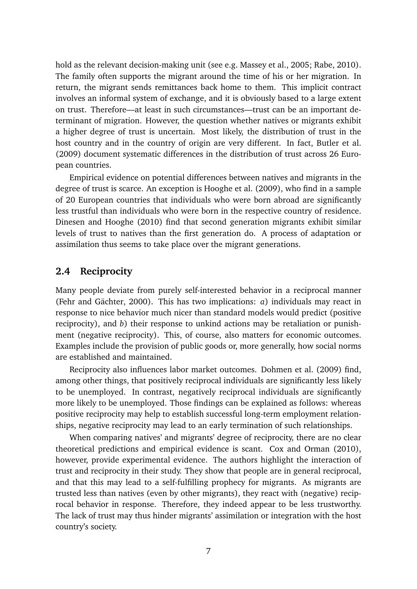hold as the relevant decision-making unit (see e.g. Massey et al., 2005; Rabe, 2010). The family often supports the migrant around the time of his or her migration. In return, the migrant sends remittances back home to them. This implicit contract involves an informal system of exchange, and it is obviously based to a large extent on trust. Therefore—at least in such circumstances—trust can be an important determinant of migration. However, the question whether natives or migrants exhibit a higher degree of trust is uncertain. Most likely, the distribution of trust in the host country and in the country of origin are very different. In fact, Butler et al. (2009) document systematic differences in the distribution of trust across 26 European countries.

Empirical evidence on potential differences between natives and migrants in the degree of trust is scarce. An exception is Hooghe et al. (2009), who find in a sample of 20 European countries that individuals who were born abroad are significantly less trustful than individuals who were born in the respective country of residence. Dinesen and Hooghe (2010) find that second generation migrants exhibit similar levels of trust to natives than the first generation do. A process of adaptation or assimilation thus seems to take place over the migrant generations.

#### **2.4 Reciprocity**

Many people deviate from purely self-interested behavior in a reciprocal manner (Fehr and Gächter, 2000). This has two implications:  $a$ ) individuals may react in response to nice behavior much nicer than standard models would predict (positive reciprocity), and *b*) their response to unkind actions may be retaliation or punishment (negative reciprocity). This, of course, also matters for economic outcomes. Examples include the provision of public goods or, more generally, how social norms are established and maintained.

Reciprocity also influences labor market outcomes. Dohmen et al. (2009) find, among other things, that positively reciprocal individuals are significantly less likely to be unemployed. In contrast, negatively reciprocal individuals are significantly more likely to be unemployed. Those findings can be explained as follows: whereas positive reciprocity may help to establish successful long-term employment relationships, negative reciprocity may lead to an early termination of such relationships.

When comparing natives' and migrants' degree of reciprocity, there are no clear theoretical predictions and empirical evidence is scant. Cox and Orman (2010), however, provide experimental evidence. The authors highlight the interaction of trust and reciprocity in their study. They show that people are in general reciprocal, and that this may lead to a self-fulfilling prophecy for migrants. As migrants are trusted less than natives (even by other migrants), they react with (negative) reciprocal behavior in response. Therefore, they indeed appear to be less trustworthy. The lack of trust may thus hinder migrants' assimilation or integration with the host country's society.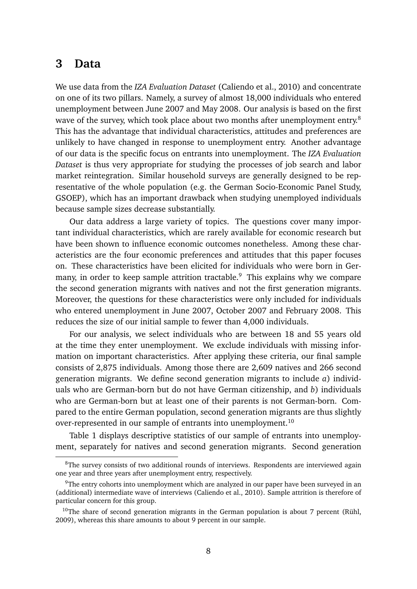### **3 Data**

We use data from the *IZA Evaluation Dataset* (Caliendo et al., 2010) and concentrate on one of its two pillars. Namely, a survey of almost 18,000 individuals who entered unemployment between June 2007 and May 2008. Our analysis is based on the first wave of the survey, which took place about two months after unemployment entry.<sup>8</sup> This has the advantage that individual characteristics, attitudes and preferences are unlikely to have changed in response to unemployment entry. Another advantage of our data is the specific focus on entrants into unemployment. The *IZA Evaluation Dataset* is thus very appropriate for studying the processes of job search and labor market reintegration. Similar household surveys are generally designed to be representative of the whole population (e.g. the German Socio-Economic Panel Study, GSOEP), which has an important drawback when studying unemployed individuals because sample sizes decrease substantially.

Our data address a large variety of topics. The questions cover many important individual characteristics, which are rarely available for economic research but have been shown to influence economic outcomes nonetheless. Among these characteristics are the four economic preferences and attitudes that this paper focuses on. These characteristics have been elicited for individuals who were born in Germany, in order to keep sample attrition tractable.<sup>9</sup> This explains why we compare the second generation migrants with natives and not the first generation migrants. Moreover, the questions for these characteristics were only included for individuals who entered unemployment in June 2007, October 2007 and February 2008. This reduces the size of our initial sample to fewer than 4,000 individuals.

For our analysis, we select individuals who are between 18 and 55 years old at the time they enter unemployment. We exclude individuals with missing information on important characteristics. After applying these criteria, our final sample consists of 2,875 individuals. Among those there are 2,609 natives and 266 second generation migrants. We define second generation migrants to include *a*) individuals who are German-born but do not have German citizenship, and *b*) individuals who are German-born but at least one of their parents is not German-born. Compared to the entire German population, second generation migrants are thus slightly over-represented in our sample of entrants into unemployment.<sup>10</sup>

Table 1 displays descriptive statistics of our sample of entrants into unemployment, separately for natives and second generation migrants. Second generation

<sup>&</sup>lt;sup>8</sup>The survey consists of two additional rounds of interviews. Respondents are interviewed again one year and three years after unemployment entry, respectively.

<sup>&</sup>lt;sup>9</sup>The entry cohorts into unemployment which are analyzed in our paper have been surveyed in an (additional) intermediate wave of interviews (Caliendo et al., 2010). Sample attrition is therefore of particular concern for this group.

 $10$ The share of second generation migrants in the German population is about 7 percent (Rühl, 2009), whereas this share amounts to about 9 percent in our sample.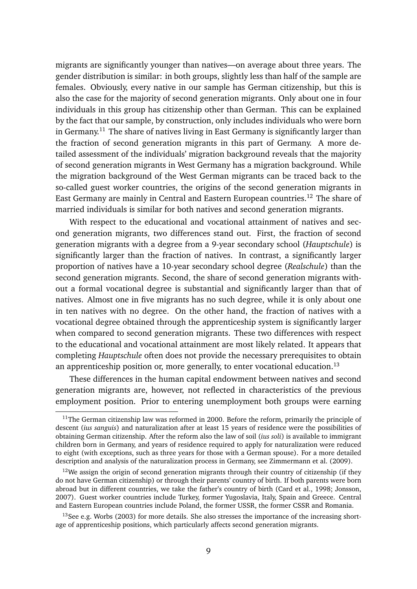migrants are significantly younger than natives—on average about three years. The gender distribution is similar: in both groups, slightly less than half of the sample are females. Obviously, every native in our sample has German citizenship, but this is also the case for the majority of second generation migrants. Only about one in four individuals in this group has citizenship other than German. This can be explained by the fact that our sample, by construction, only includes individuals who were born in Germany.<sup>11</sup> The share of natives living in East Germany is significantly larger than the fraction of second generation migrants in this part of Germany. A more detailed assessment of the individuals' migration background reveals that the majority of second generation migrants in West Germany has a migration background. While the migration background of the West German migrants can be traced back to the so-called guest worker countries, the origins of the second generation migrants in East Germany are mainly in Central and Eastern European countries.<sup>12</sup> The share of married individuals is similar for both natives and second generation migrants.

With respect to the educational and vocational attainment of natives and second generation migrants, two differences stand out. First, the fraction of second generation migrants with a degree from a 9-year secondary school (*Hauptschule*) is significantly larger than the fraction of natives. In contrast, a significantly larger proportion of natives have a 10-year secondary school degree (*Realschule*) than the second generation migrants. Second, the share of second generation migrants without a formal vocational degree is substantial and significantly larger than that of natives. Almost one in five migrants has no such degree, while it is only about one in ten natives with no degree. On the other hand, the fraction of natives with a vocational degree obtained through the apprenticeship system is significantly larger when compared to second generation migrants. These two differences with respect to the educational and vocational attainment are most likely related. It appears that completing *Hauptschule* often does not provide the necessary prerequisites to obtain an apprenticeship position or, more generally, to enter vocational education.<sup>13</sup>

These differences in the human capital endowment between natives and second generation migrants are, however, not reflected in characteristics of the previous employment position. Prior to entering unemployment both groups were earning

 $11$ The German citizenship law was reformed in 2000. Before the reform, primarily the principle of descent (*ius sanguis*) and naturalization after at least 15 years of residence were the possibilities of obtaining German citizenship. After the reform also the law of soil (*ius soli*) is available to immigrant children born in Germany, and years of residence required to apply for naturalization were reduced to eight (with exceptions, such as three years for those with a German spouse). For a more detailed description and analysis of the naturalization process in Germany, see Zimmermann et al. (2009).

 $12$ We assign the origin of second generation migrants through their country of citizenship (if they do not have German citizenship) or through their parents' country of birth. If both parents were born abroad but in different countries, we take the father's country of birth (Card et al., 1998; Jonsson, 2007). Guest worker countries include Turkey, former Yugoslavia, Italy, Spain and Greece. Central and Eastern European countries include Poland, the former USSR, the former CSSR and Romania.

<sup>&</sup>lt;sup>13</sup>See e.g. Worbs (2003) for more details. She also stresses the importance of the increasing shortage of apprenticeship positions, which particularly affects second generation migrants.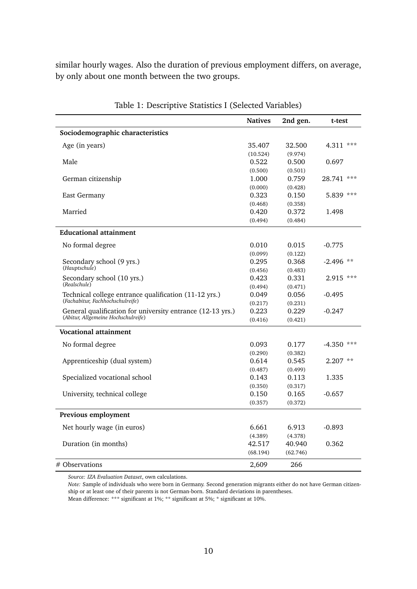similar hourly wages. Also the duration of previous employment differs, on average, by only about one month between the two groups.

|                                                            | <b>Natives</b> | 2nd gen. | t-test       |
|------------------------------------------------------------|----------------|----------|--------------|
| Sociodemographic characteristics                           |                |          |              |
| Age (in years)                                             | 35.407         | 32.500   | 4.311 ***    |
|                                                            | (10.524)       | (9.974)  |              |
| Male                                                       | 0.522          | 0.500    | 0.697        |
|                                                            | (0.500)        | (0.501)  |              |
| German citizenship                                         | 1.000          | 0.759    | 28.741 ***   |
|                                                            | (0.000)        | (0.428)  |              |
| East Germany                                               | 0.323          | 0.150    | 5.839 ***    |
|                                                            | (0.468)        | (0.358)  |              |
| Married                                                    | 0.420          | 0.372    | 1.498        |
|                                                            | (0.494)        | (0.484)  |              |
| <b>Educational attainment</b>                              |                |          |              |
| No formal degree                                           | 0.010          | 0.015    | $-0.775$     |
|                                                            | (0.099)        | (0.122)  |              |
| Secondary school (9 yrs.)                                  | 0.295          | 0.368    | $-2.496$ **  |
| (Hauptschule)                                              | (0.456)        | (0.483)  |              |
| Secondary school (10 yrs.)                                 | 0.423          | 0.331    | 2.915 ***    |
| (Realschule)                                               | (0.494)        | (0.471)  |              |
| Technical college entrance qualification (11-12 yrs.)      | 0.049          | 0.056    | $-0.495$     |
| (Fachabitur, Fachhochschulreife)                           | (0.217)        | (0.231)  |              |
| General qualification for university entrance (12-13 yrs.) | 0.223          | 0.229    | $-0.247$     |
| (Abitur, Allgemeine Hochschulreife)                        | (0.416)        | (0.421)  |              |
| <b>Vocational attainment</b>                               |                |          |              |
| No formal degree                                           | 0.093          | 0.177    | $-4.350$ *** |
|                                                            | (0.290)        | (0.382)  |              |
| Apprenticeship (dual system)                               | 0.614          | 0.545    | $2.207$ **   |
|                                                            | (0.487)        | (0.499)  |              |
| Specialized vocational school                              | 0.143          | 0.113    | 1.335        |
|                                                            | (0.350)        | (0.317)  |              |
| University, technical college                              | 0.150          | 0.165    | $-0.657$     |
|                                                            | (0.357)        | (0.372)  |              |
| Previous employment                                        |                |          |              |
| Net hourly wage (in euros)                                 | 6.661          | 6.913    | $-0.893$     |
|                                                            | (4.389)        | (4.378)  |              |
| Duration (in months)                                       | 42.517         | 40.940   | 0.362        |
|                                                            | (68.194)       | (62.746) |              |
| # Observations                                             | 2.609          | 266      |              |

| Table 1: Descriptive Statistics I (Selected Variables) |  |
|--------------------------------------------------------|--|
|--------------------------------------------------------|--|

*Source: IZA Evaluation Dataset*, own calculations.

*Note:* Sample of individuals who were born in Germany. Second generation migrants either do not have German citizenship or at least one of their parents is not German-born. Standard deviations in parentheses.

Mean difference: \*\*\* significant at 1%; \*\* significant at 5%; \* significant at 10%.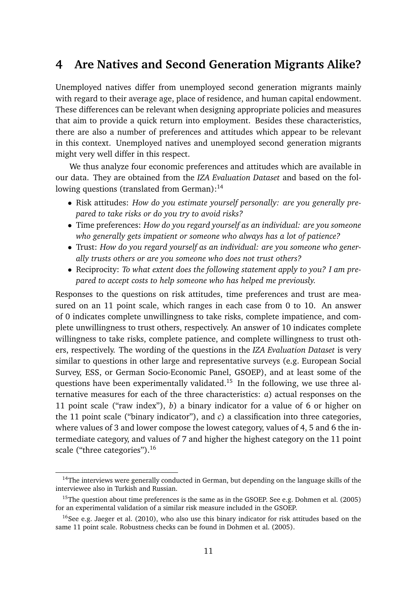# **4 Are Natives and Second Generation Migrants Alike?**

Unemployed natives differ from unemployed second generation migrants mainly with regard to their average age, place of residence, and human capital endowment. These differences can be relevant when designing appropriate policies and measures that aim to provide a quick return into employment. Besides these characteristics, there are also a number of preferences and attitudes which appear to be relevant in this context. Unemployed natives and unemployed second generation migrants might very well differ in this respect.

We thus analyze four economic preferences and attitudes which are available in our data. They are obtained from the *IZA Evaluation Dataset* and based on the following questions (translated from German):<sup>14</sup>

- Risk attitudes: *How do you estimate yourself personally: are you generally prepared to take risks or do you try to avoid risks?*
- Time preferences: *How do you regard yourself as an individual: are you someone who generally gets impatient or someone who always has a lot of patience?*
- Trust: *How do you regard yourself as an individual: are you someone who generally trusts others or are you someone who does not trust others?*
- Reciprocity: *To what extent does the following statement apply to you? I am prepared to accept costs to help someone who has helped me previously.*

Responses to the questions on risk attitudes, time preferences and trust are measured on an 11 point scale, which ranges in each case from 0 to 10. An answer of 0 indicates complete unwillingness to take risks, complete impatience, and complete unwillingness to trust others, respectively. An answer of 10 indicates complete willingness to take risks, complete patience, and complete willingness to trust others, respectively. The wording of the questions in the *IZA Evaluation Dataset* is very similar to questions in other large and representative surveys (e.g. European Social Survey, ESS, or German Socio-Economic Panel, GSOEP), and at least some of the questions have been experimentally validated.<sup>15</sup> In the following, we use three alternative measures for each of the three characteristics: *a*) actual responses on the 11 point scale ("raw index"), *b*) a binary indicator for a value of 6 or higher on the 11 point scale ("binary indicator"), and *c*) a classification into three categories, where values of 3 and lower compose the lowest category, values of 4, 5 and 6 the intermediate category, and values of 7 and higher the highest category on the 11 point scale ("three categories").<sup>16</sup>

 $14$ The interviews were generally conducted in German, but depending on the language skills of the interviewee also in Turkish and Russian.

<sup>&</sup>lt;sup>15</sup>The question about time preferences is the same as in the GSOEP. See e.g. Dohmen et al. (2005) for an experimental validation of a similar risk measure included in the GSOEP.

<sup>&</sup>lt;sup>16</sup>See e.g. Jaeger et al. (2010), who also use this binary indicator for risk attitudes based on the same 11 point scale. Robustness checks can be found in Dohmen et al. (2005).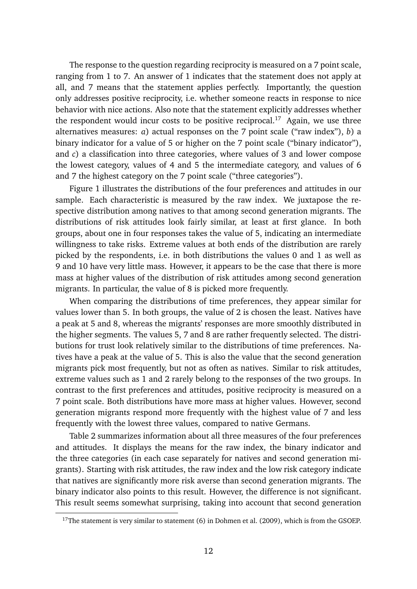The response to the question regarding reciprocity is measured on a 7 point scale, ranging from 1 to 7. An answer of 1 indicates that the statement does not apply at all, and 7 means that the statement applies perfectly. Importantly, the question only addresses positive reciprocity, i.e. whether someone reacts in response to nice behavior with nice actions. Also note that the statement explicitly addresses whether the respondent would incur costs to be positive reciprocal.<sup>17</sup> Again, we use three alternatives measures: *a*) actual responses on the 7 point scale ("raw index"), *b*) a binary indicator for a value of 5 or higher on the 7 point scale ("binary indicator"), and *c*) a classification into three categories, where values of 3 and lower compose the lowest category, values of 4 and 5 the intermediate category, and values of 6 and 7 the highest category on the 7 point scale ("three categories").

Figure 1 illustrates the distributions of the four preferences and attitudes in our sample. Each characteristic is measured by the raw index. We juxtapose the respective distribution among natives to that among second generation migrants. The distributions of risk attitudes look fairly similar, at least at first glance. In both groups, about one in four responses takes the value of 5, indicating an intermediate willingness to take risks. Extreme values at both ends of the distribution are rarely picked by the respondents, i.e. in both distributions the values 0 and 1 as well as 9 and 10 have very little mass. However, it appears to be the case that there is more mass at higher values of the distribution of risk attitudes among second generation migrants. In particular, the value of 8 is picked more frequently.

When comparing the distributions of time preferences, they appear similar for values lower than 5. In both groups, the value of 2 is chosen the least. Natives have a peak at 5 and 8, whereas the migrants' responses are more smoothly distributed in the higher segments. The values 5, 7 and 8 are rather frequently selected. The distributions for trust look relatively similar to the distributions of time preferences. Natives have a peak at the value of 5. This is also the value that the second generation migrants pick most frequently, but not as often as natives. Similar to risk attitudes, extreme values such as 1 and 2 rarely belong to the responses of the two groups. In contrast to the first preferences and attitudes, positive reciprocity is measured on a 7 point scale. Both distributions have more mass at higher values. However, second generation migrants respond more frequently with the highest value of 7 and less frequently with the lowest three values, compared to native Germans.

Table 2 summarizes information about all three measures of the four preferences and attitudes. It displays the means for the raw index, the binary indicator and the three categories (in each case separately for natives and second generation migrants). Starting with risk attitudes, the raw index and the low risk category indicate that natives are significantly more risk averse than second generation migrants. The binary indicator also points to this result. However, the difference is not significant. This result seems somewhat surprising, taking into account that second generation

<sup>&</sup>lt;sup>17</sup>The statement is very similar to statement (6) in Dohmen et al. (2009), which is from the GSOEP.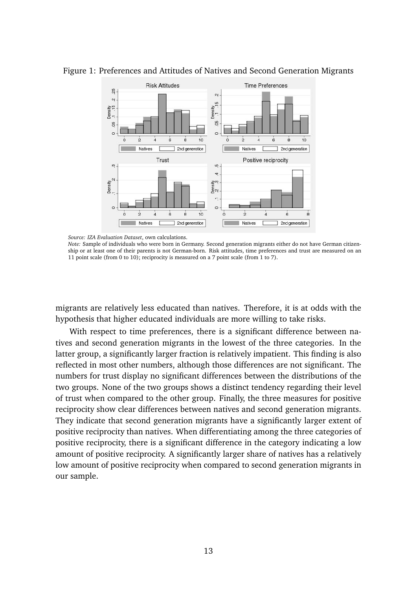

Figure 1: Preferences and Attitudes of Natives and Second Generation Migrants

*Note:* Sample of individuals who were born in Germany. Second generation migrants either do not have German citizenship or at least one of their parents is not German-born. Risk attitudes, time preferences and trust are measured on an 11 point scale (from 0 to 10); reciprocity is measured on a 7 point scale (from 1 to 7).

migrants are relatively less educated than natives. Therefore, it is at odds with the hypothesis that higher educated individuals are more willing to take risks.

With respect to time preferences, there is a significant difference between natives and second generation migrants in the lowest of the three categories. In the latter group, a significantly larger fraction is relatively impatient. This finding is also reflected in most other numbers, although those differences are not significant. The numbers for trust display no significant differences between the distributions of the two groups. None of the two groups shows a distinct tendency regarding their level of trust when compared to the other group. Finally, the three measures for positive reciprocity show clear differences between natives and second generation migrants. They indicate that second generation migrants have a significantly larger extent of positive reciprocity than natives. When differentiating among the three categories of positive reciprocity, there is a significant difference in the category indicating a low amount of positive reciprocity. A significantly larger share of natives has a relatively low amount of positive reciprocity when compared to second generation migrants in our sample.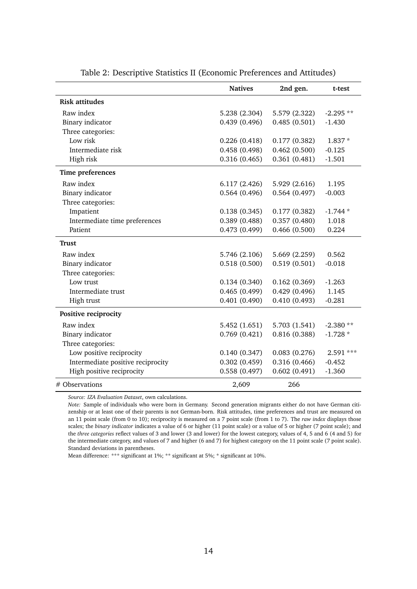|                                   | <b>Natives</b> | 2nd gen.      | t-test     |
|-----------------------------------|----------------|---------------|------------|
| <b>Risk attitudes</b>             |                |               |            |
| Raw index                         | 5.238 (2.304)  | 5.579 (2.322) | $-2.295**$ |
| Binary indicator                  | 0.439(0.496)   | 0.485(0.501)  | $-1.430$   |
| Three categories:                 |                |               |            |
| Low risk                          | 0.226(0.418)   | 0.177(0.382)  | 1.837 *    |
| Intermediate risk                 | 0.458(0.498)   | 0.462(0.500)  | $-0.125$   |
| High risk                         | 0.316(0.465)   | 0.361(0.481)  | $-1.501$   |
| Time preferences                  |                |               |            |
| Raw index                         | 6.117(2.426)   | 5.929 (2.616) | 1.195      |
| Binary indicator                  | 0.564(0.496)   | 0.564(0.497)  | $-0.003$   |
| Three categories:                 |                |               |            |
| Impatient                         | 0.138(0.345)   | 0.177(0.382)  | $-1.744*$  |
| Intermediate time preferences     | 0.389(0.488)   | 0.357(0.480)  | 1.018      |
| Patient                           | 0.473(0.499)   | 0.466(0.500)  | 0.224      |
| <b>Trust</b>                      |                |               |            |
| Raw index                         | 5.746 (2.106)  | 5.669 (2.259) | 0.562      |
| Binary indicator                  | 0.518(0.500)   | 0.519(0.501)  | $-0.018$   |
| Three categories:                 |                |               |            |
| Low trust                         | 0.134(0.340)   | 0.162(0.369)  | $-1.263$   |
| Intermediate trust                | 0.465(0.499)   | 0.429(0.496)  | 1.145      |
| High trust                        | 0.401(0.490)   | 0.410(0.493)  | $-0.281$   |
| Positive reciprocity              |                |               |            |
| Raw index                         | 5.452(1.651)   | 5.703 (1.541) | $-2.380**$ |
| Binary indicator                  | 0.769(0.421)   | 0.816(0.388)  | $-1.728*$  |
| Three categories:                 |                |               |            |
| Low positive reciprocity          | 0.140(0.347)   | 0.083(0.276)  | $2.591***$ |
| Intermediate positive reciprocity | 0.302(0.459)   | 0.316(0.466)  | $-0.452$   |
| High positive reciprocity         | 0.558(0.497)   | 0.602(0.491)  | $-1.360$   |
| # Observations                    | 2,609          | 266           |            |

Table 2: Descriptive Statistics II (Economic Preferences and Attitudes)

*Source: IZA Evaluation Dataset*, own calculations.

Mean difference: \*\*\* significant at 1%; \*\* significant at 5%; \* significant at 10%.

*Note:* Sample of individuals who were born in Germany. Second generation migrants either do not have German citizenship or at least one of their parents is not German-born. Risk attitudes, time preferences and trust are measured on an 11 point scale (from 0 to 10); reciprocity is measured on a 7 point scale (from 1 to 7). The *raw index* displays those scales; the *binary indicator* indicates a value of 6 or higher (11 point scale) or a value of 5 or higher (7 point scale); and the *three categories* reflect values of 3 and lower (3 and lower) for the lowest category, values of 4, 5 and 6 (4 and 5) for the intermediate category, and values of 7 and higher (6 and 7) for highest category on the 11 point scale (7 point scale). Standard deviations in parentheses.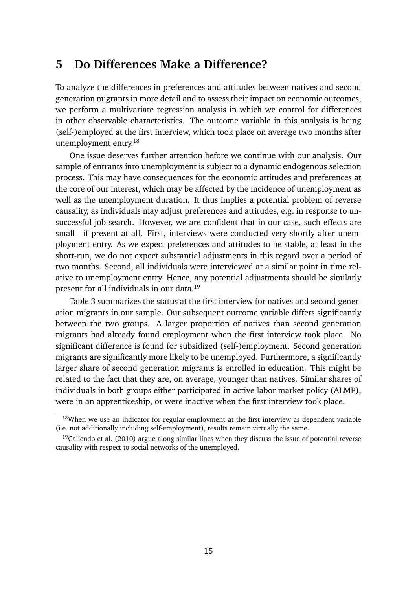# **5 Do Differences Make a Difference?**

To analyze the differences in preferences and attitudes between natives and second generation migrants in more detail and to assess their impact on economic outcomes, we perform a multivariate regression analysis in which we control for differences in other observable characteristics. The outcome variable in this analysis is being (self-)employed at the first interview, which took place on average two months after unemployment entry.<sup>18</sup>

One issue deserves further attention before we continue with our analysis. Our sample of entrants into unemployment is subject to a dynamic endogenous selection process. This may have consequences for the economic attitudes and preferences at the core of our interest, which may be affected by the incidence of unemployment as well as the unemployment duration. It thus implies a potential problem of reverse causality, as individuals may adjust preferences and attitudes, e.g. in response to unsuccessful job search. However, we are confident that in our case, such effects are small—if present at all. First, interviews were conducted very shortly after unemployment entry. As we expect preferences and attitudes to be stable, at least in the short-run, we do not expect substantial adjustments in this regard over a period of two months. Second, all individuals were interviewed at a similar point in time relative to unemployment entry. Hence, any potential adjustments should be similarly present for all individuals in our data.<sup>19</sup>

Table 3 summarizes the status at the first interview for natives and second generation migrants in our sample. Our subsequent outcome variable differs significantly between the two groups. A larger proportion of natives than second generation migrants had already found employment when the first interview took place. No significant difference is found for subsidized (self-)employment. Second generation migrants are significantly more likely to be unemployed. Furthermore, a significantly larger share of second generation migrants is enrolled in education. This might be related to the fact that they are, on average, younger than natives. Similar shares of individuals in both groups either participated in active labor market policy (ALMP), were in an apprenticeship, or were inactive when the first interview took place.

 $18$ When we use an indicator for regular employment at the first interview as dependent variable (i.e. not additionally including self-employment), results remain virtually the same.

 $19$ Caliendo et al. (2010) argue along similar lines when they discuss the issue of potential reverse causality with respect to social networks of the unemployed.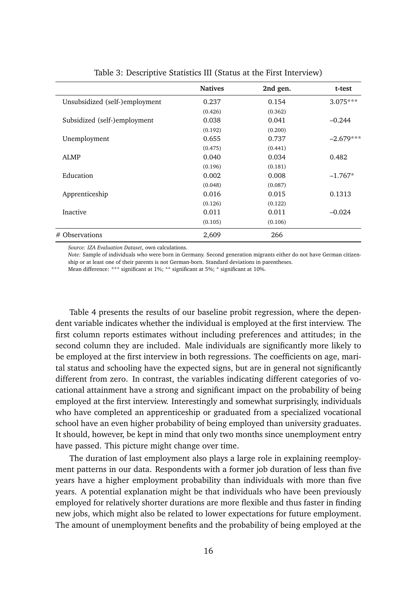|                                | <b>Natives</b> | 2nd gen. | t-test      |
|--------------------------------|----------------|----------|-------------|
| Unsubsidized (self-)employment | 0.237          | 0.154    | $3.075***$  |
|                                | (0.426)        | (0.362)  |             |
| Subsidized (self-)employment   | 0.038          | 0.041    | $-0.244$    |
|                                | (0.192)        | (0.200)  |             |
| Unemployment                   | 0.655          | 0.737    | $-2.679***$ |
|                                | (0.475)        | (0.441)  |             |
| <b>ALMP</b>                    | 0.040          | 0.034    | 0.482       |
|                                | (0.196)        | (0.181)  |             |
| Education                      | 0.002          | 0.008    | $-1.767*$   |
|                                | (0.048)        | (0.087)  |             |
| Apprenticeship                 | 0.016          | 0.015    | 0.1313      |
|                                | (0.126)        | (0.122)  |             |
| Inactive                       | 0.011          | 0.011    | $-0.024$    |
|                                | (0.105)        | (0.106)  |             |
| # Observations                 | 2,609          | 266      |             |

Table 3: Descriptive Statistics III (Status at the First Interview)

*Note:* Sample of individuals who were born in Germany. Second generation migrants either do not have German citizenship or at least one of their parents is not German-born. Standard deviations in parentheses.

Mean difference: \*\*\* significant at 1%; \*\* significant at 5%; \* significant at 10%.

Table 4 presents the results of our baseline probit regression, where the dependent variable indicates whether the individual is employed at the first interview. The first column reports estimates without including preferences and attitudes; in the second column they are included. Male individuals are significantly more likely to be employed at the first interview in both regressions. The coefficients on age, marital status and schooling have the expected signs, but are in general not significantly different from zero. In contrast, the variables indicating different categories of vocational attainment have a strong and significant impact on the probability of being employed at the first interview. Interestingly and somewhat surprisingly, individuals who have completed an apprenticeship or graduated from a specialized vocational school have an even higher probability of being employed than university graduates. It should, however, be kept in mind that only two months since unemployment entry have passed. This picture might change over time.

The duration of last employment also plays a large role in explaining reemployment patterns in our data. Respondents with a former job duration of less than five years have a higher employment probability than individuals with more than five years. A potential explanation might be that individuals who have been previously employed for relatively shorter durations are more flexible and thus faster in finding new jobs, which might also be related to lower expectations for future employment. The amount of unemployment benefits and the probability of being employed at the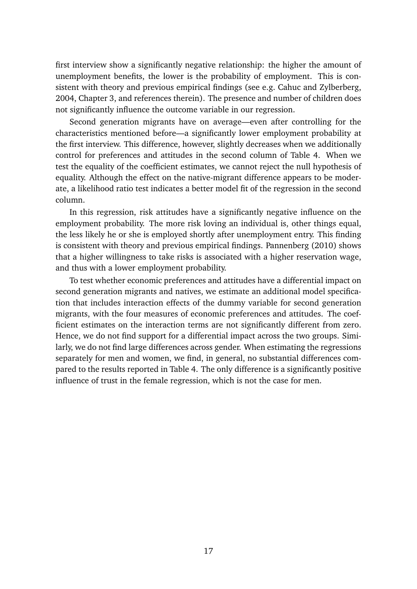first interview show a significantly negative relationship: the higher the amount of unemployment benefits, the lower is the probability of employment. This is consistent with theory and previous empirical findings (see e.g. Cahuc and Zylberberg, 2004, Chapter 3, and references therein). The presence and number of children does not significantly influence the outcome variable in our regression.

Second generation migrants have on average—even after controlling for the characteristics mentioned before—a significantly lower employment probability at the first interview. This difference, however, slightly decreases when we additionally control for preferences and attitudes in the second column of Table 4. When we test the equality of the coefficient estimates, we cannot reject the null hypothesis of equality. Although the effect on the native-migrant difference appears to be moderate, a likelihood ratio test indicates a better model fit of the regression in the second column.

In this regression, risk attitudes have a significantly negative influence on the employment probability. The more risk loving an individual is, other things equal, the less likely he or she is employed shortly after unemployment entry. This finding is consistent with theory and previous empirical findings. Pannenberg (2010) shows that a higher willingness to take risks is associated with a higher reservation wage, and thus with a lower employment probability.

To test whether economic preferences and attitudes have a differential impact on second generation migrants and natives, we estimate an additional model specification that includes interaction effects of the dummy variable for second generation migrants, with the four measures of economic preferences and attitudes. The coefficient estimates on the interaction terms are not significantly different from zero. Hence, we do not find support for a differential impact across the two groups. Similarly, we do not find large differences across gender. When estimating the regressions separately for men and women, we find, in general, no substantial differences compared to the results reported in Table 4. The only difference is a significantly positive influence of trust in the female regression, which is not the case for men.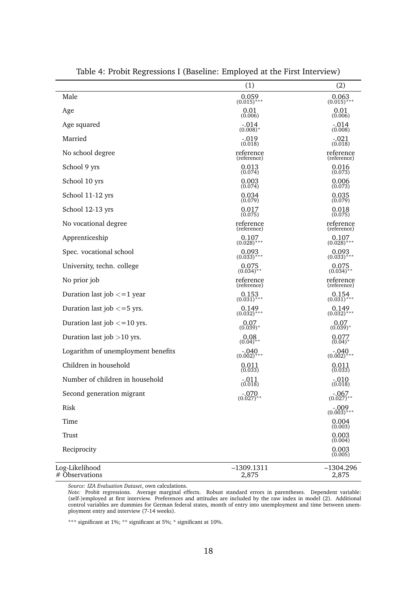|                                    | (1)                               | (2)                      |
|------------------------------------|-----------------------------------|--------------------------|
| Male                               | $0.059$<br>(0.015)***             | $0.063$<br>(0.015)***    |
| Age                                | 0.01<br>(0.006)                   | 0.01<br>(0.006)          |
| Age squared                        | $-.014$<br>$(0.008)^*$            | $-0.014$<br>(0.008)      |
| Married                            | $-.019$<br>(0.018)                | $-.021$<br>(0.018)       |
| No school degree                   | reference<br>(reference)          | reference<br>(reference) |
| School 9 yrs                       | 0.013<br>(0.074)                  | 0.016<br>(0.073)         |
| School 10 yrs                      | 0.003<br>(0.074)                  | 0.006<br>(0.073)         |
| School 11-12 yrs                   | 0.034<br>(0.079)                  | 0.035<br>(0.079)         |
| School 12-13 yrs                   | 0.017<br>(0.075)                  | 0.018<br>(0.075)         |
| No vocational degree               | reference<br>(reference)          | reference<br>(reference) |
| Apprenticeship                     | $0.107$<br>(0.028)***             | 0.107<br>$(0.028)$ ***   |
| Spec. vocational school            | $0.093$<br>(0.033)***             | $0.093$<br>(0.033)***    |
| University, techn. college         | 0.075<br>$(0.034)$ **             | 0.075<br>$(0.034)$ **    |
| No prior job                       | reference<br>(reference)          | reference<br>(reference) |
| Duration last job $\lt=1$ year     | $\underset{(0.031)^{***}}{0.153}$ | $0.154$<br>(0.031)***    |
| Duration last job $\lt=5$ yrs.     | $0.149$<br>(0.032)***             | $0.149$<br>(0.032)***    |
| Duration last job $\lt$ = 10 yrs.  | 0.07<br>$(0.039)*$                | 0.07<br>$(0.039)*$       |
| Duration last job > 10 yrs.        | 0.08<br>$(0.04)$ <sup>**</sup>    | $0.077$<br>$(0.04)^*$    |
| Logarithm of unemployment benefits | $-040$<br>(0.002)***              | $-040$<br>(0.002)***     |
| Children in household              | 0.011<br>(0.033)                  | 0.011<br>(0.033)         |
| Number of children in household    | -.011<br>(0.018)                  | $-0.010$<br>(0.018)      |
| Second generation migrant          | $-.070$<br>$(0.027)$ **           | $-.067$<br>$(0.027)$ **  |
| Risk                               |                                   | $-0.009$<br>(0.003)***   |
| Time                               |                                   | 0.004<br>(0.003)         |
| Trust                              |                                   | 0.003<br>(0.004)         |
| Reciprocity                        |                                   | $0.003$<br>$(0.005)$     |
| Log-Likelihood<br># Observations   | $-1309.1311$<br>2,875             | $-1304.296$<br>2,875     |

Table 4: Probit Regressions I (Baseline: Employed at the First Interview)

*Note:* Probit regressions. Average marginal effects. Robust standard errors in parentheses. Dependent variable: (self-)employed at first interview. Preferences and attitudes are included by the raw index in model (2). Additional control variables are dummies for German federal states, month of entry into unemployment and time between unemployment entry and interview (7-14 weeks).

\*\*\* significant at 1%; \*\* significant at 5%; \* significant at 10%.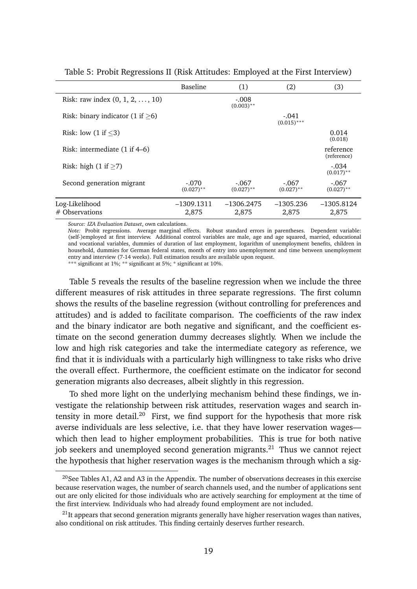|                                        | <b>Baseline</b>         | (1)                     | (2)                      | (3)                      |
|----------------------------------------|-------------------------|-------------------------|--------------------------|--------------------------|
| Risk: raw index $(0, 1, 2, , 10)$      |                         | $-.008$<br>$(0.003)$ ** |                          |                          |
| Risk: binary indicator (1 if $\geq$ 6) |                         |                         | $-.041$<br>$(0.015)$ *** |                          |
| Risk: low $(1 \text{ if } \leq 3)$     |                         |                         |                          | 0.014<br>(0.018)         |
| Risk: intermediate (1 if 4–6)          |                         |                         |                          | reference<br>(reference) |
| Risk: high $(1 \text{ if } \geq 7)$    |                         |                         |                          | -.034<br>$(0.017)$ **    |
| Second generation migrant              | $-.070$<br>$(0.027)$ ** | $-.067$<br>$(0.027)$ ** | $-.067$<br>$(0.027)$ **  | $-.067$<br>$(0.027)$ **  |
| Log-Likelihood<br># Observations       | $-1309.1311$<br>2,875   | $-1306.2475$<br>2,875   | $-1305.236$<br>2,875     | $-1305.8124$<br>2,875    |
|                                        |                         |                         |                          |                          |

Table 5: Probit Regressions II (Risk Attitudes: Employed at the First Interview)

*Note:* Probit regressions. Average marginal effects. Robust standard errors in parentheses. Dependent variable: (self-)employed at first interview. Additional control variables are male, age and age squared, married, educational and vocational variables, dummies of duration of last employment, logarithm of unemployment benefits, children in household, dummies for German federal states, month of entry into unemployment and time between unemployment entry and interview (7-14 weeks). Full estimation results are available upon request.

 $*$  significant at 1%;  $**$  significant at 5%;  $*$  significant at 10%.

Table 5 reveals the results of the baseline regression when we include the three different measures of risk attitudes in three separate regressions. The first column shows the results of the baseline regression (without controlling for preferences and attitudes) and is added to facilitate comparison. The coefficients of the raw index and the binary indicator are both negative and significant, and the coefficient estimate on the second generation dummy decreases slightly. When we include the low and high risk categories and take the intermediate category as reference, we find that it is individuals with a particularly high willingness to take risks who drive the overall effect. Furthermore, the coefficient estimate on the indicator for second generation migrants also decreases, albeit slightly in this regression.

To shed more light on the underlying mechanism behind these findings, we investigate the relationship between risk attitudes, reservation wages and search intensity in more detail.<sup>20</sup> First, we find support for the hypothesis that more risk averse individuals are less selective, i.e. that they have lower reservation wages which then lead to higher employment probabilities. This is true for both native job seekers and unemployed second generation migrants.<sup>21</sup> Thus we cannot reject the hypothesis that higher reservation wages is the mechanism through which a sig-

<sup>&</sup>lt;sup>20</sup>See Tables A1, A2 and A3 in the Appendix. The number of observations decreases in this exercise because reservation wages, the number of search channels used, and the number of applications sent out are only elicited for those individuals who are actively searching for employment at the time of the first interview. Individuals who had already found employment are not included.

 $^{21}$ It appears that second generation migrants generally have higher reservation wages than natives, also conditional on risk attitudes. This finding certainly deserves further research.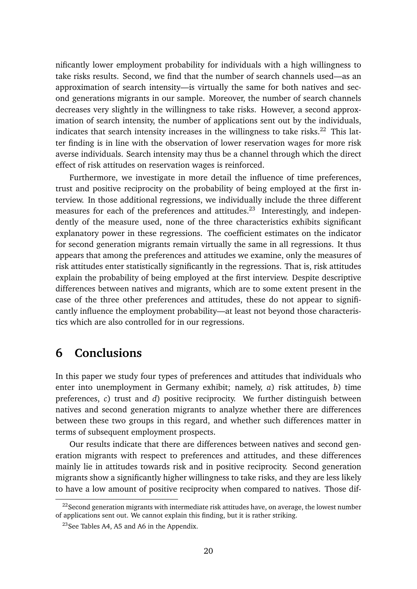nificantly lower employment probability for individuals with a high willingness to take risks results. Second, we find that the number of search channels used—as an approximation of search intensity—is virtually the same for both natives and second generations migrants in our sample. Moreover, the number of search channels decreases very slightly in the willingness to take risks. However, a second approximation of search intensity, the number of applications sent out by the individuals, indicates that search intensity increases in the willingness to take risks.<sup>22</sup> This latter finding is in line with the observation of lower reservation wages for more risk averse individuals. Search intensity may thus be a channel through which the direct effect of risk attitudes on reservation wages is reinforced.

Furthermore, we investigate in more detail the influence of time preferences, trust and positive reciprocity on the probability of being employed at the first interview. In those additional regressions, we individually include the three different measures for each of the preferences and attitudes.<sup>23</sup> Interestingly, and independently of the measure used, none of the three characteristics exhibits significant explanatory power in these regressions. The coefficient estimates on the indicator for second generation migrants remain virtually the same in all regressions. It thus appears that among the preferences and attitudes we examine, only the measures of risk attitudes enter statistically significantly in the regressions. That is, risk attitudes explain the probability of being employed at the first interview. Despite descriptive differences between natives and migrants, which are to some extent present in the case of the three other preferences and attitudes, these do not appear to significantly influence the employment probability—at least not beyond those characteristics which are also controlled for in our regressions.

# **6 Conclusions**

In this paper we study four types of preferences and attitudes that individuals who enter into unemployment in Germany exhibit; namely, *a*) risk attitudes, *b*) time preferences, *c*) trust and *d*) positive reciprocity. We further distinguish between natives and second generation migrants to analyze whether there are differences between these two groups in this regard, and whether such differences matter in terms of subsequent employment prospects.

Our results indicate that there are differences between natives and second generation migrants with respect to preferences and attitudes, and these differences mainly lie in attitudes towards risk and in positive reciprocity. Second generation migrants show a significantly higher willingness to take risks, and they are less likely to have a low amount of positive reciprocity when compared to natives. Those dif-

 $22$ Second generation migrants with intermediate risk attitudes have, on average, the lowest number of applications sent out. We cannot explain this finding, but it is rather striking.

<sup>&</sup>lt;sup>23</sup>See Tables A4, A5 and A6 in the Appendix.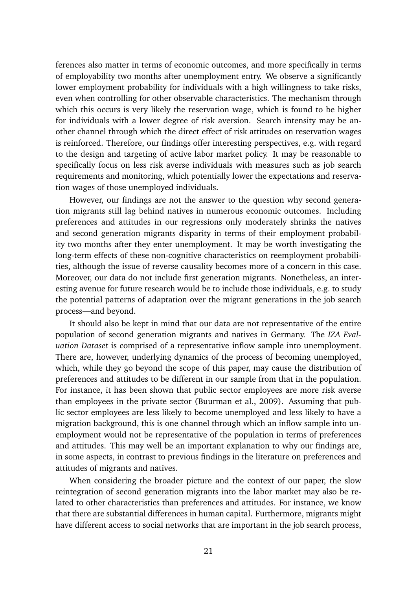ferences also matter in terms of economic outcomes, and more specifically in terms of employability two months after unemployment entry. We observe a significantly lower employment probability for individuals with a high willingness to take risks, even when controlling for other observable characteristics. The mechanism through which this occurs is very likely the reservation wage, which is found to be higher for individuals with a lower degree of risk aversion. Search intensity may be another channel through which the direct effect of risk attitudes on reservation wages is reinforced. Therefore, our findings offer interesting perspectives, e.g. with regard to the design and targeting of active labor market policy. It may be reasonable to specifically focus on less risk averse individuals with measures such as job search requirements and monitoring, which potentially lower the expectations and reservation wages of those unemployed individuals.

However, our findings are not the answer to the question why second generation migrants still lag behind natives in numerous economic outcomes. Including preferences and attitudes in our regressions only moderately shrinks the natives and second generation migrants disparity in terms of their employment probability two months after they enter unemployment. It may be worth investigating the long-term effects of these non-cognitive characteristics on reemployment probabilities, although the issue of reverse causality becomes more of a concern in this case. Moreover, our data do not include first generation migrants. Nonetheless, an interesting avenue for future research would be to include those individuals, e.g. to study the potential patterns of adaptation over the migrant generations in the job search process—and beyond.

It should also be kept in mind that our data are not representative of the entire population of second generation migrants and natives in Germany. The *IZA Evaluation Dataset* is comprised of a representative inflow sample into unemployment. There are, however, underlying dynamics of the process of becoming unemployed, which, while they go beyond the scope of this paper, may cause the distribution of preferences and attitudes to be different in our sample from that in the population. For instance, it has been shown that public sector employees are more risk averse than employees in the private sector (Buurman et al., 2009). Assuming that public sector employees are less likely to become unemployed and less likely to have a migration background, this is one channel through which an inflow sample into unemployment would not be representative of the population in terms of preferences and attitudes. This may well be an important explanation to why our findings are, in some aspects, in contrast to previous findings in the literature on preferences and attitudes of migrants and natives.

When considering the broader picture and the context of our paper, the slow reintegration of second generation migrants into the labor market may also be related to other characteristics than preferences and attitudes. For instance, we know that there are substantial differences in human capital. Furthermore, migrants might have different access to social networks that are important in the job search process,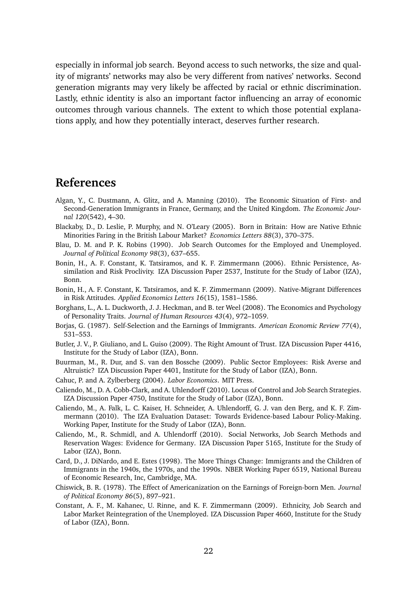especially in informal job search. Beyond access to such networks, the size and quality of migrants' networks may also be very different from natives' networks. Second generation migrants may very likely be affected by racial or ethnic discrimination. Lastly, ethnic identity is also an important factor influencing an array of economic outcomes through various channels. The extent to which those potential explanations apply, and how they potentially interact, deserves further research.

# **References**

- Algan, Y., C. Dustmann, A. Glitz, and A. Manning (2010). The Economic Situation of First- and Second-Generation Immigrants in France, Germany, and the United Kingdom. *The Economic Journal 120*(542), 4–30.
- Blackaby, D., D. Leslie, P. Murphy, and N. O'Leary (2005). Born in Britain: How are Native Ethnic Minorities Faring in the British Labour Market? *Economics Letters 88*(3), 370–375.
- Blau, D. M. and P. K. Robins (1990). Job Search Outcomes for the Employed and Unemployed. *Journal of Political Economy 98*(3), 637–655.
- Bonin, H., A. F. Constant, K. Tatsiramos, and K. F. Zimmermann (2006). Ethnic Persistence, Assimilation and Risk Proclivity. IZA Discussion Paper 2537, Institute for the Study of Labor (IZA), Bonn.
- Bonin, H., A. F. Constant, K. Tatsiramos, and K. F. Zimmermann (2009). Native-Migrant Differences in Risk Attitudes. *Applied Economics Letters 16*(15), 1581–1586.
- Borghans, L., A. L. Duckworth, J. J. Heckman, and B. ter Weel (2008). The Economics and Psychology of Personality Traits. *Journal of Human Resources 43*(4), 972–1059.
- Borjas, G. (1987). Self-Selection and the Earnings of Immigrants. *American Economic Review 77*(4), 531–553.
- Butler, J. V., P. Giuliano, and L. Guiso (2009). The Right Amount of Trust. IZA Discussion Paper 4416, Institute for the Study of Labor (IZA), Bonn.
- Buurman, M., R. Dur, and S. van den Bossche (2009). Public Sector Employees: Risk Averse and Altruistic? IZA Discussion Paper 4401, Institute for the Study of Labor (IZA), Bonn.
- Cahuc, P. and A. Zylberberg (2004). *Labor Economics*. MIT Press.
- Caliendo, M., D. A. Cobb-Clark, and A. Uhlendorff (2010). Locus of Control and Job Search Strategies. IZA Discussion Paper 4750, Institute for the Study of Labor (IZA), Bonn.
- Caliendo, M., A. Falk, L. C. Kaiser, H. Schneider, A. Uhlendorff, G. J. van den Berg, and K. F. Zimmermann (2010). The IZA Evaluation Dataset: Towards Evidence-based Labour Policy-Making. Working Paper, Institute for the Study of Labor (IZA), Bonn.
- Caliendo, M., R. Schmidl, and A. Uhlendorff (2010). Social Networks, Job Search Methods and Reservation Wages: Evidence for Germany. IZA Discussion Paper 5165, Institute for the Study of Labor (IZA), Bonn.
- Card, D., J. DiNardo, and E. Estes (1998). The More Things Change: Immigrants and the Children of Immigrants in the 1940s, the 1970s, and the 1990s. NBER Working Paper 6519, National Bureau of Economic Research, Inc, Cambridge, MA.
- Chiswick, B. R. (1978). The Effect of Americanization on the Earnings of Foreign-born Men. *Journal of Political Economy 86*(5), 897–921.
- Constant, A. F., M. Kahanec, U. Rinne, and K. F. Zimmermann (2009). Ethnicity, Job Search and Labor Market Reintegration of the Unemployed. IZA Discussion Paper 4660, Institute for the Study of Labor (IZA), Bonn.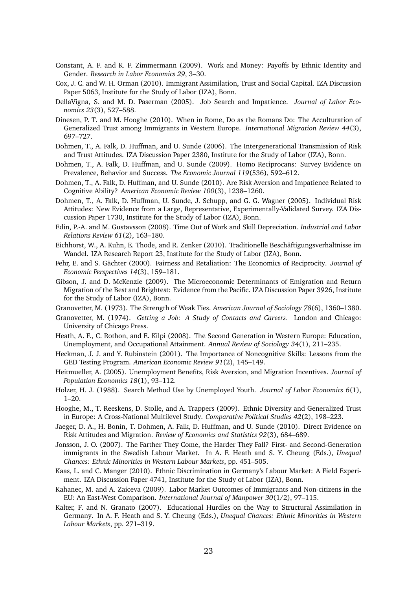- Constant, A. F. and K. F. Zimmermann (2009). Work and Money: Payoffs by Ethnic Identity and Gender. *Research in Labor Economics 29*, 3–30.
- Cox, J. C. and W. H. Orman (2010). Immigrant Assimilation, Trust and Social Capital. IZA Discussion Paper 5063, Institute for the Study of Labor (IZA), Bonn.
- DellaVigna, S. and M. D. Paserman (2005). Job Search and Impatience. *Journal of Labor Economics 23*(3), 527–588.
- Dinesen, P. T. and M. Hooghe (2010). When in Rome, Do as the Romans Do: The Acculturation of Generalized Trust among Immigrants in Western Europe. *International Migration Review 44*(3), 697–727.
- Dohmen, T., A. Falk, D. Huffman, and U. Sunde (2006). The Intergenerational Transmission of Risk and Trust Attitudes. IZA Discussion Paper 2380, Institute for the Study of Labor (IZA), Bonn.
- Dohmen, T., A. Falk, D. Huffman, and U. Sunde (2009). Homo Reciprocans: Survey Evidence on Prevalence, Behavior and Success. *The Economic Journal 119*(536), 592–612.
- Dohmen, T., A. Falk, D. Huffman, and U. Sunde (2010). Are Risk Aversion and Impatience Related to Cognitive Ability? *American Economic Review 100*(3), 1238–1260.
- Dohmen, T., A. Falk, D. Huffman, U. Sunde, J. Schupp, and G. G. Wagner (2005). Individual Risk Attitudes: New Evidence from a Large, Representative, Experimentally-Validated Survey. IZA Discussion Paper 1730, Institute for the Study of Labor (IZA), Bonn.
- Edin, P.-A. and M. Gustavsson (2008). Time Out of Work and Skill Depreciation. *Industrial and Labor Relations Review 61*(2), 163–180.
- Eichhorst, W., A. Kuhn, E. Thode, and R. Zenker (2010). Traditionelle Beschäftigungsverhältnisse im Wandel. IZA Research Report 23, Institute for the Study of Labor (IZA), Bonn.
- Fehr, E. and S. Gächter (2000). Fairness and Retaliation: The Economics of Reciprocity. Journal of *Economic Perspectives 14*(3), 159–181.
- Gibson, J. and D. McKenzie (2009). The Microeconomic Determinants of Emigration and Return Migration of the Best and Brightest: Evidence from the Pacific. IZA Discussion Paper 3926, Institute for the Study of Labor (IZA), Bonn.

Granovetter, M. (1973). The Strength of Weak Ties. *American Journal of Sociology 78*(6), 1360–1380.

- Granovetter, M. (1974). *Getting a Job: A Study of Contacts and Careers*. London and Chicago: University of Chicago Press.
- Heath, A. F., C. Rothon, and E. Kilpi (2008). The Second Generation in Western Europe: Education, Unemployment, and Occupational Attainment. *Annual Review of Sociology 34*(1), 211–235.
- Heckman, J. J. and Y. Rubinstein (2001). The Importance of Noncognitive Skills: Lessons from the GED Testing Program. *American Economic Review 91*(2), 145–149.
- Heitmueller, A. (2005). Unemployment Benefits, Risk Aversion, and Migration Incentives. *Journal of Population Economics 18*(1), 93–112.
- Holzer, H. J. (1988). Search Method Use by Unemployed Youth. *Journal of Labor Economics 6*(1), 1–20.
- Hooghe, M., T. Reeskens, D. Stolle, and A. Trappers (2009). Ethnic Diversity and Generalized Trust in Europe: A Cross-National Multilevel Study. *Comparative Political Studies 42*(2), 198–223.
- Jaeger, D. A., H. Bonin, T. Dohmen, A. Falk, D. Huffman, and U. Sunde (2010). Direct Evidence on Risk Attitudes and Migration. *Review of Economics and Statistics 92*(3), 684–689.
- Jonsson, J. O. (2007). The Farther They Come, the Harder They Fall? First- and Second-Generation immigrants in the Swedish Labour Market. In A. F. Heath and S. Y. Cheung (Eds.), *Unequal Chances: Ethnic Minorities in Western Labour Markets*, pp. 451–505.
- Kaas, L. and C. Manger (2010). Ethnic Discrimination in Germany's Labour Market: A Field Experiment. IZA Discussion Paper 4741, Institute for the Study of Labor (IZA), Bonn.
- Kahanec, M. and A. Zaiceva (2009). Labor Market Outcomes of Immigrants and Non-citizens in the EU: An East-West Comparison. *International Journal of Manpower 30*(1/2), 97–115.
- Kalter, F. and N. Granato (2007). Educational Hurdles on the Way to Structural Assimilation in Germany. In A. F. Heath and S. Y. Cheung (Eds.), *Unequal Chances: Ethnic Minorities in Western Labour Markets*, pp. 271–319.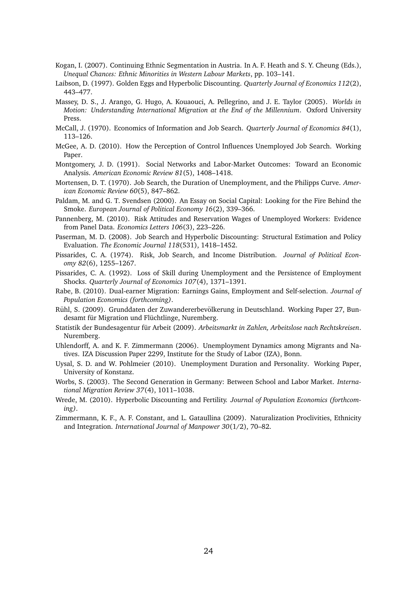- Kogan, I. (2007). Continuing Ethnic Segmentation in Austria. In A. F. Heath and S. Y. Cheung (Eds.), *Unequal Chances: Ethnic Minorities in Western Labour Markets*, pp. 103–141.
- Laibson, D. (1997). Golden Eggs and Hyperbolic Discounting. *Quarterly Journal of Economics 112*(2), 443–477.
- Massey, D. S., J. Arango, G. Hugo, A. Kouaouci, A. Pellegrino, and J. E. Taylor (2005). *Worlds in Motion: Understanding International Migration at the End of the Millennium*. Oxford University Press.
- McCall, J. (1970). Economics of Information and Job Search. *Quarterly Journal of Economics 84*(1), 113–126.
- McGee, A. D. (2010). How the Perception of Control Influences Unemployed Job Search. Working Paper.
- Montgomery, J. D. (1991). Social Networks and Labor-Market Outcomes: Toward an Economic Analysis. *American Economic Review 81*(5), 1408–1418.
- Mortensen, D. T. (1970). Job Search, the Duration of Unemployment, and the Philipps Curve. *American Economic Review 60*(5), 847–862.
- Paldam, M. and G. T. Svendsen (2000). An Essay on Social Capital: Looking for the Fire Behind the Smoke. *European Journal of Political Economy 16*(2), 339–366.
- Pannenberg, M. (2010). Risk Attitudes and Reservation Wages of Unemployed Workers: Evidence from Panel Data. *Economics Letters 106*(3), 223–226.
- Paserman, M. D. (2008). Job Search and Hyperbolic Discounting: Structural Estimation and Policy Evaluation. *The Economic Journal 118*(531), 1418–1452.
- Pissarides, C. A. (1974). Risk, Job Search, and Income Distribution. *Journal of Political Economy 82*(6), 1255–1267.
- Pissarides, C. A. (1992). Loss of Skill during Unemployment and the Persistence of Employment Shocks. *Quarterly Journal of Economics 107*(4), 1371–1391.
- Rabe, B. (2010). Dual-earner Migration: Earnings Gains, Employment and Self-selection. *Journal of Population Economics (forthcoming)*.
- Rühl, S. (2009). Grunddaten der Zuwandererbevölkerung in Deutschland. Working Paper 27, Bundesamt für Migration und Flüchtlinge, Nuremberg.
- Statistik der Bundesagentur für Arbeit (2009). Arbeitsmarkt in Zahlen, Arbeitslose nach Rechtskreisen. Nuremberg.
- Uhlendorff, A. and K. F. Zimmermann (2006). Unemployment Dynamics among Migrants and Natives. IZA Discussion Paper 2299, Institute for the Study of Labor (IZA), Bonn.
- Uysal, S. D. and W. Pohlmeier (2010). Unemployment Duration and Personality. Working Paper, University of Konstanz.
- Worbs, S. (2003). The Second Generation in Germany: Between School and Labor Market. *International Migration Review 37*(4), 1011–1038.
- Wrede, M. (2010). Hyperbolic Discounting and Fertility. *Journal of Population Economics (forthcoming)*.
- Zimmermann, K. F., A. F. Constant, and L. Gataullina (2009). Naturalization Proclivities, Ethnicity and Integration. *International Journal of Manpower 30*(1/2), 70–82.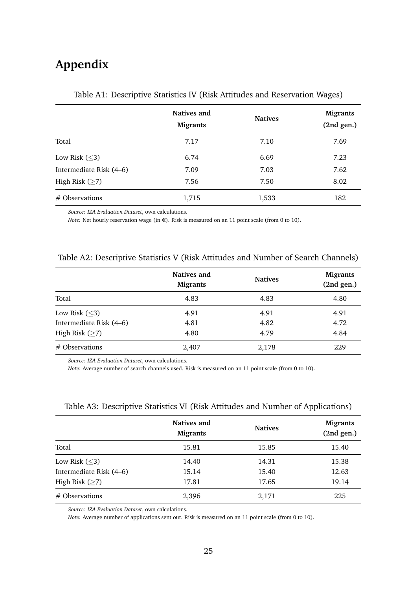# **Appendix**

|                         | Natives and<br><b>Migrants</b> | <b>Natives</b> | <b>Migrants</b><br>(2nd gen.) |
|-------------------------|--------------------------------|----------------|-------------------------------|
| Total                   | 7.17                           | 7.10           | 7.69                          |
| Low Risk $(3)$          | 6.74                           | 6.69           | 7.23                          |
| Intermediate Risk (4–6) | 7.09                           | 7.03           | 7.62                          |
| High Risk $(\geq 7)$    | 7.56                           | 7.50           | 8.02                          |
| # Observations          | 1,715                          | 1,533          | 182                           |

| Table A1: Descriptive Statistics IV (Risk Attitudes and Reservation Wages) |  |  |  |
|----------------------------------------------------------------------------|--|--|--|
|----------------------------------------------------------------------------|--|--|--|

*Source: IZA Evaluation Dataset*, own calculations.

*Note:* Net hourly reservation wage (in €). Risk is measured on an 11 point scale (from 0 to 10).

| Table A2: Descriptive Statistics V (Risk Attitudes and Number of Search Channels) |  |  |  |  |  |
|-----------------------------------------------------------------------------------|--|--|--|--|--|
|-----------------------------------------------------------------------------------|--|--|--|--|--|

|                         | Natives and<br><b>Migrants</b> | <b>Natives</b> | <b>Migrants</b><br>(2nd gen.) |
|-------------------------|--------------------------------|----------------|-------------------------------|
| Total                   | 4.83                           | 4.83           | 4.80                          |
| Low Risk $(3)$          | 4.91                           | 4.91           | 4.91                          |
| Intermediate Risk (4-6) | 4.81                           | 4.82           | 4.72                          |
| High Risk $(\geq 7)$    | 4.80                           | 4.79           | 4.84                          |
| $#$ Observations        | 2,407                          | 2,178          | 229                           |

*Source: IZA Evaluation Dataset*, own calculations.

*Note:* Average number of search channels used. Risk is measured on an 11 point scale (from 0 to 10).

|                         | Natives and<br><b>Migrants</b> | <b>Natives</b> | <b>Migrants</b><br>(2nd gen.) |  |
|-------------------------|--------------------------------|----------------|-------------------------------|--|
| Total                   | 15.81                          | 15.85          | 15.40                         |  |
| Low Risk $(3)$          | 14.40                          | 14.31          | 15.38                         |  |
| Intermediate Risk (4–6) | 15.14                          | 15.40          | 12.63                         |  |
| High Risk $(\geq 7)$    | 17.81                          | 17.65          | 19.14                         |  |
| $#$ Observations        | 2.396                          | 2,171          | 225                           |  |

| Table A3: Descriptive Statistics VI (Risk Attitudes and Number of Applications) |  |  |  |  |  |
|---------------------------------------------------------------------------------|--|--|--|--|--|
|---------------------------------------------------------------------------------|--|--|--|--|--|

*Source: IZA Evaluation Dataset*, own calculations.

*Note:* Average number of applications sent out. Risk is measured on an 11 point scale (from 0 to 10).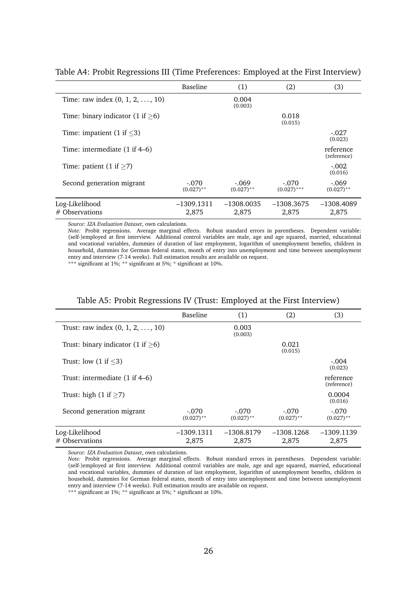|                                       | Baseline                | (1)                     | (2)                      | (3)                      |
|---------------------------------------|-------------------------|-------------------------|--------------------------|--------------------------|
| Time: raw index $(0, 1, 2, , 10)$     |                         | 0.004<br>(0.003)        |                          |                          |
| Time: binary indicator $(1 if \ge 6)$ |                         |                         | 0.018<br>(0.015)         |                          |
| Time: impatient (1 if $\leq$ 3)       |                         |                         |                          | $-.027$<br>(0.023)       |
| Time: intermediate $(1 if 4-6)$       |                         |                         |                          | reference<br>(reference) |
| Time: patient (1 if $\geq$ 7)         |                         |                         |                          | $-.002$<br>(0.016)       |
| Second generation migrant             | $-.070$<br>$(0.027)$ ** | $-.069$<br>$(0.027)$ ** | $-.070$<br>$(0.027)$ *** | $-.069$<br>$(0.027)$ **  |
| Log-Likelihood<br># Observations      | $-1309.1311$<br>2,875   | $-1308,0035$<br>2,875   | $-1308.3675$<br>2,875    | $-1308,4089$<br>2,875    |

Table A4: Probit Regressions III (Time Preferences: Employed at the First Interview)

*Note:* Probit regressions. Average marginal effects. Robust standard errors in parentheses. Dependent variable: (self-)employed at first interview. Additional control variables are male, age and age squared, married, educational and vocational variables, dummies of duration of last employment, logarithm of unemployment benefits, children in household, dummies for German federal states, month of entry into unemployment and time between unemployment entry and interview (7-14 weeks). Full estimation results are available on request.

\*\*\* significant at 1%; \*\* significant at 5%; \* significant at 10%.

|  |  | Table A5: Probit Regressions IV (Trust: Employed at the First Interview) |
|--|--|--------------------------------------------------------------------------|
|--|--|--------------------------------------------------------------------------|

|                                         | Baseline                | (1)                     | (2)                     | (3)                      |
|-----------------------------------------|-------------------------|-------------------------|-------------------------|--------------------------|
| Trust: raw index $(0, 1, 2, , 10)$      |                         | 0.003<br>(0.003)        |                         |                          |
| Trust: binary indicator $(1 if \geq 6)$ |                         |                         | 0.021<br>(0.015)        |                          |
| Trust: low $(1 \text{ if } \leq 3)$     |                         |                         |                         | $-.004$<br>(0.023)       |
| Trust: intermediate $(1 if 4-6)$        |                         |                         |                         | reference<br>(reference) |
| Trust: high $(1 \text{ if } \geq 7)$    |                         |                         |                         | 0.0004<br>(0.016)        |
| Second generation migrant               | $-.070$<br>$(0.027)$ ** | $-.070$<br>$(0.027)$ ** | $-.070$<br>$(0.027)$ ** | $-.070$<br>$(0.027)$ **  |
| Log-Likelihood                          | $-1309.1311$            | $-1308.8179$            | $-1308.1268$            | $-1309.1139$             |
| # Observations                          | 2,875                   | 2,875                   | 2,875                   | 2,875                    |

*Source: IZA Evaluation Dataset*, own calculations.

*Note:* Probit regressions. Average marginal effects. Robust standard errors in parentheses. Dependent variable: (self-)employed at first interview. Additional control variables are male, age and age squared, married, educational and vocational variables, dummies of duration of last employment, logarithm of unemployment benefits, children in household, dummies for German federal states, month of entry into unemployment and time between unemployment entry and interview (7-14 weeks). Full estimation results are available on request.

\*\*\* significant at 1%; \*\* significant at 5%; \* significant at 10%.